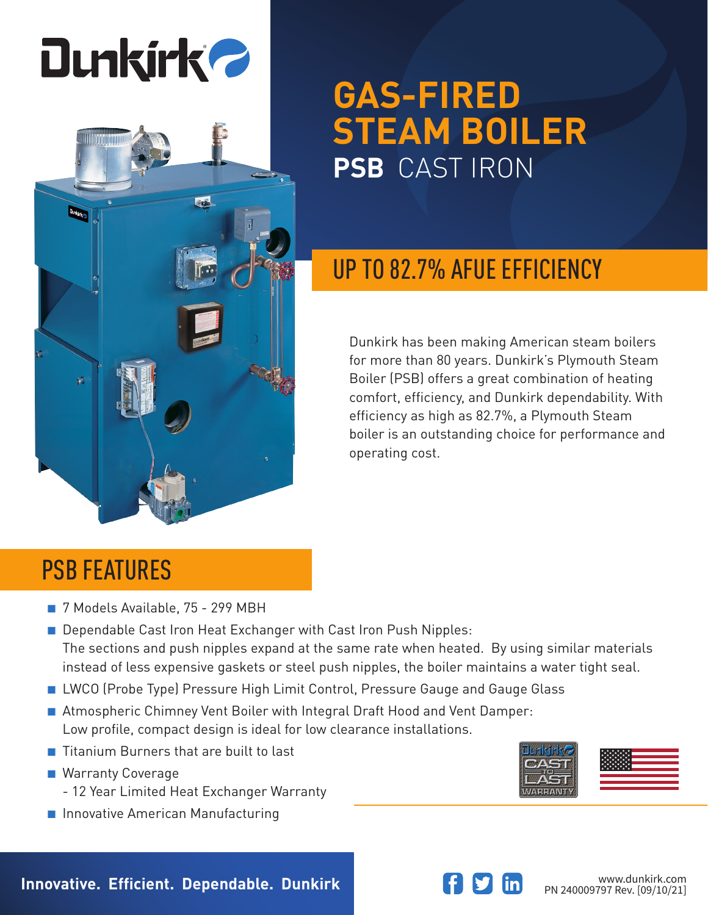

 $20$ 

**Mixedian** 



# UP TO 82.7% AFUE EFFICIENCY

Dunkirk has been making American steam boilers for more than 80 years. Dunkirk's Plymouth Steam Boiler (PSB) offers a great combination of heating comfort, efficiency, and Dunkirk dependability. With efficiency as high as 82.7%, a Plymouth Steam boiler is an outstanding choice for performance and operating cost.

## PSB FEATURES

- 7 Models Available, 75 299 MBH
- Dependable Cast Iron Heat Exchanger with Cast Iron Push Nipples: The sections and push nipples expand at the same rate when heated. By using similar materials instead of less expensive gaskets or steel push nipples, the boiler maintains a water tight seal.
- LWCO (Probe Type) Pressure High Limit Control, Pressure Gauge and Gauge Glass
- Atmospheric Chimney Vent Boiler with Integral Draft Hood and Vent Damper: Low profile, compact design is ideal for low clearance installations.
- Titanium Burners that are built to last
- Warranty Coverage
	- 12 Year Limited Heat Exchanger Warranty
- Innovative American Manufacturing